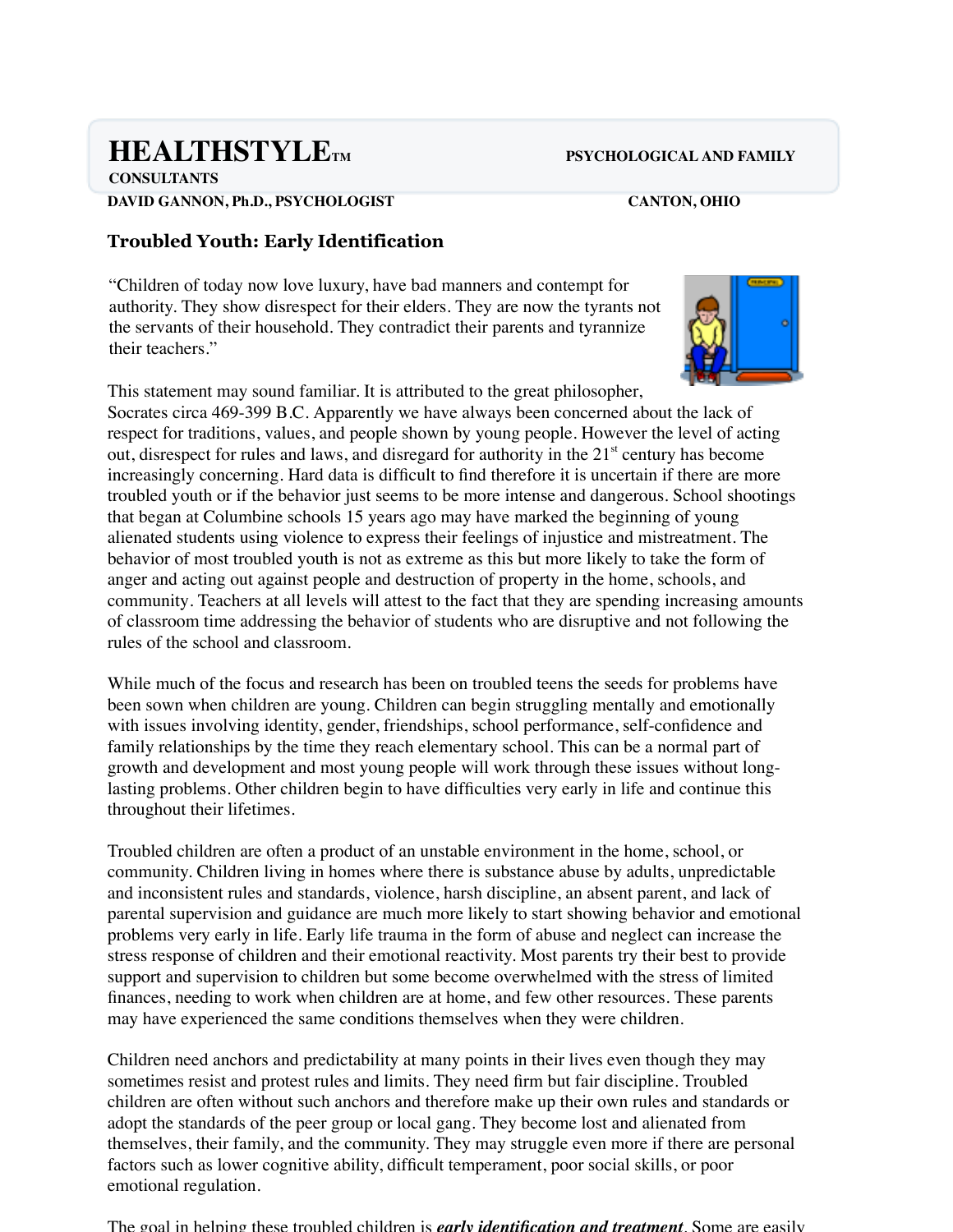# **HEALTHSTYLET AND PSYCHOLOGICAL AND FAMILY**

**CONSULTANTS DAVID GANNON, Ph.D., PSYCHOLOGIST CANTON, OHIO**

## **Troubled Youth: Early Identification**

"Children of today now love luxury, have bad manners and contempt for authority. They show disrespect for their elders. They are now the tyrants not the servants of their household. They contradict their parents and tyrannize their teachers."



This statement may sound familiar. It is attributed to the great philosopher, Socrates circa 469-399 B.C. Apparently we have always been concerned about the lack of respect for traditions, values, and people shown by young people. However the level of acting out, disrespect for rules and laws, and disregard for authority in the  $21<sup>st</sup>$  century has become increasingly concerning. Hard data is difficult to find therefore it is uncertain if there are more troubled youth or if the behavior just seems to be more intense and dangerous. School shootings that began at Columbine schools 15 years ago may have marked the beginning of young alienated students using violence to express their feelings of injustice and mistreatment. The behavior of most troubled youth is not as extreme as this but more likely to take the form of anger and acting out against people and destruction of property in the home, schools, and community. Teachers at all levels will attest to the fact that they are spending increasing amounts of classroom time addressing the behavior of students who are disruptive and not following the rules of the school and classroom.

While much of the focus and research has been on troubled teens the seeds for problems have been sown when children are young. Children can begin struggling mentally and emotionally with issues involving identity, gender, friendships, school performance, self-confidence and family relationships by the time they reach elementary school. This can be a normal part of growth and development and most young people will work through these issues without longlasting problems. Other children begin to have difficulties very early in life and continue this throughout their lifetimes.

Troubled children are often a product of an unstable environment in the home, school, or community. Children living in homes where there is substance abuse by adults, unpredictable and inconsistent rules and standards, violence, harsh discipline, an absent parent, and lack of parental supervision and guidance are much more likely to start showing behavior and emotional problems very early in life. Early life trauma in the form of abuse and neglect can increase the stress response of children and their emotional reactivity. Most parents try their best to provide support and supervision to children but some become overwhelmed with the stress of limited finances, needing to work when children are at home, and few other resources. These parents may have experienced the same conditions themselves when they were children.

Children need anchors and predictability at many points in their lives even though they may sometimes resist and protest rules and limits. They need firm but fair discipline. Troubled children are often without such anchors and therefore make up their own rules and standards or adopt the standards of the peer group or local gang. They become lost and alienated from themselves, their family, and the community. They may struggle even more if there are personal factors such as lower cognitive ability, difficult temperament, poor social skills, or poor emotional regulation.

The goal in helping these troubled children is *early identification and treatment*. Some are easily